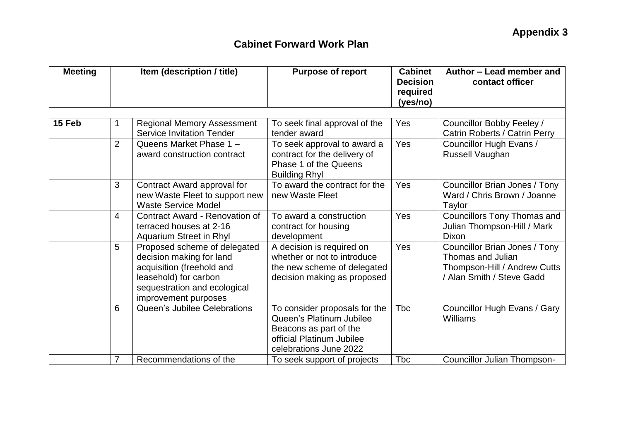| <b>Meeting</b> | Item (description / title) |                                                                                                                                                                        | <b>Purpose of report</b>                                                                                                                   | <b>Cabinet</b><br><b>Decision</b><br>required<br>(yes/no) | Author - Lead member and<br>contact officer                                                                     |
|----------------|----------------------------|------------------------------------------------------------------------------------------------------------------------------------------------------------------------|--------------------------------------------------------------------------------------------------------------------------------------------|-----------------------------------------------------------|-----------------------------------------------------------------------------------------------------------------|
| 15 Feb         | 1                          | <b>Regional Memory Assessment</b><br><b>Service Invitation Tender</b>                                                                                                  | To seek final approval of the<br>tender award                                                                                              | Yes                                                       | Councillor Bobby Feeley /                                                                                       |
|                | $\overline{2}$             | Queens Market Phase 1 -<br>award construction contract                                                                                                                 | To seek approval to award a<br>contract for the delivery of<br>Phase 1 of the Queens<br><b>Building Rhyl</b>                               | Yes                                                       | Catrin Roberts / Catrin Perry<br>Councillor Hugh Evans /<br>Russell Vaughan                                     |
|                | 3                          | Contract Award approval for<br>new Waste Fleet to support new<br><b>Waste Service Model</b>                                                                            | To award the contract for the<br>new Waste Fleet                                                                                           | Yes                                                       | Councillor Brian Jones / Tony<br>Ward / Chris Brown / Joanne<br>Taylor                                          |
|                | 4                          | Contract Award - Renovation of<br>terraced houses at 2-16<br>Aquarium Street in Rhyl                                                                                   | To award a construction<br>contract for housing<br>development                                                                             | Yes                                                       | Councillors Tony Thomas and<br>Julian Thompson-Hill / Mark<br>Dixon                                             |
|                | 5                          | Proposed scheme of delegated<br>decision making for land<br>acquisition (freehold and<br>leasehold) for carbon<br>sequestration and ecological<br>improvement purposes | A decision is required on<br>whether or not to introduce<br>the new scheme of delegated<br>decision making as proposed                     | Yes                                                       | Councillor Brian Jones / Tony<br>Thomas and Julian<br>Thompson-Hill / Andrew Cutts<br>/ Alan Smith / Steve Gadd |
|                | 6                          | Queen's Jubilee Celebrations                                                                                                                                           | To consider proposals for the<br>Queen's Platinum Jubilee<br>Beacons as part of the<br>official Platinum Jubilee<br>celebrations June 2022 | <b>T</b> bc                                               | Councillor Hugh Evans / Gary<br>Williams                                                                        |
|                | 7                          | Recommendations of the                                                                                                                                                 | To seek support of projects                                                                                                                | Tbc                                                       | Councillor Julian Thompson-                                                                                     |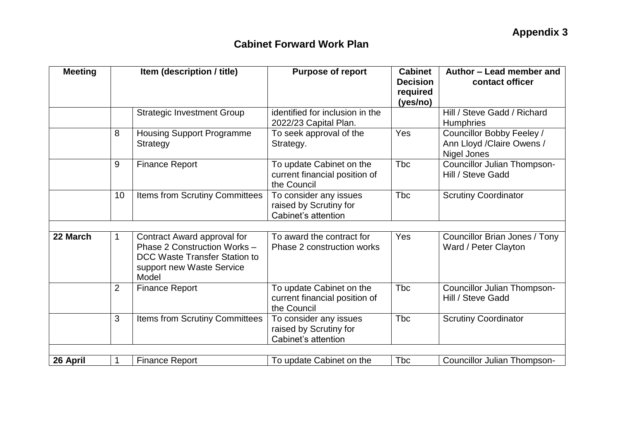| <b>Meeting</b> | Item (description / title) |                                                                                                                           | <b>Purpose of report</b>                                                 | <b>Cabinet</b><br><b>Decision</b><br>required<br>(yes/no) | Author - Lead member and<br>contact officer                            |  |
|----------------|----------------------------|---------------------------------------------------------------------------------------------------------------------------|--------------------------------------------------------------------------|-----------------------------------------------------------|------------------------------------------------------------------------|--|
|                |                            | <b>Strategic Investment Group</b>                                                                                         | identified for inclusion in the<br>2022/23 Capital Plan.                 |                                                           | Hill / Steve Gadd / Richard<br><b>Humphries</b>                        |  |
|                | 8                          | <b>Housing Support Programme</b><br>Strategy                                                                              | To seek approval of the<br>Strategy.                                     | Yes                                                       | Councillor Bobby Feeley /<br>Ann Lloyd / Claire Owens /<br>Nigel Jones |  |
|                | 9                          | <b>Finance Report</b>                                                                                                     | To update Cabinet on the<br>current financial position of<br>the Council | <b>T</b> bc                                               | <b>Councillor Julian Thompson-</b><br>Hill / Steve Gadd                |  |
|                | 10                         | Items from Scrutiny Committees                                                                                            | To consider any issues<br>raised by Scrutiny for<br>Cabinet's attention  | <b>Tbc</b>                                                | <b>Scrutiny Coordinator</b>                                            |  |
| 22 March       | 1                          | Contract Award approval for<br>Phase 2 Construction Works -<br>DCC Waste Transfer Station to<br>support new Waste Service | To award the contract for<br>Phase 2 construction works                  | <b>Yes</b>                                                | Councillor Brian Jones / Tony<br>Ward / Peter Clayton                  |  |
|                | $\overline{2}$             | Model<br><b>Finance Report</b>                                                                                            | To update Cabinet on the<br>current financial position of<br>the Council | <b>T</b> bc                                               | <b>Councillor Julian Thompson-</b><br>Hill / Steve Gadd                |  |
|                | 3                          | Items from Scrutiny Committees                                                                                            | To consider any issues<br>raised by Scrutiny for<br>Cabinet's attention  | <b>T</b> bc                                               | <b>Scrutiny Coordinator</b>                                            |  |
| 26 April       |                            | <b>Finance Report</b>                                                                                                     | To update Cabinet on the                                                 | <b>Tbc</b>                                                | <b>Councillor Julian Thompson-</b>                                     |  |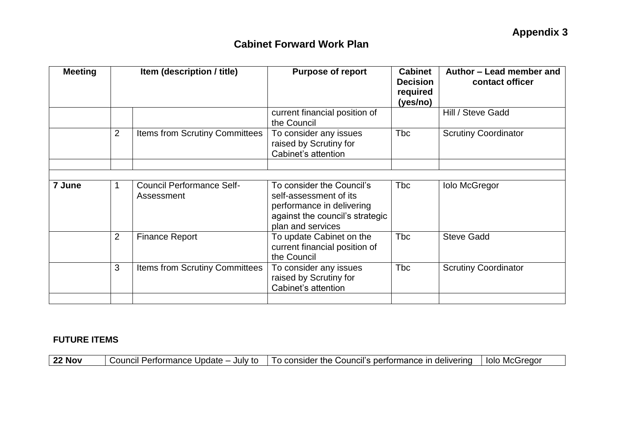| <b>Meeting</b> | Item (description / title) |                                                | <b>Purpose of report</b>                                                                                                                 | <b>Cabinet</b><br><b>Decision</b><br>required<br>(yes/no) | Author – Lead member and<br>contact officer |
|----------------|----------------------------|------------------------------------------------|------------------------------------------------------------------------------------------------------------------------------------------|-----------------------------------------------------------|---------------------------------------------|
|                |                            |                                                | current financial position of<br>the Council                                                                                             |                                                           | Hill / Steve Gadd                           |
|                | $\overline{2}$             | <b>Items from Scrutiny Committees</b>          | To consider any issues<br>raised by Scrutiny for<br>Cabinet's attention                                                                  | <b>Tbc</b>                                                | <b>Scrutiny Coordinator</b>                 |
|                |                            |                                                |                                                                                                                                          |                                                           |                                             |
| 7 June         |                            | <b>Council Performance Self-</b><br>Assessment | To consider the Council's<br>self-assessment of its<br>performance in delivering<br>against the council's strategic<br>plan and services | <b>Tbc</b>                                                | <b>Iolo McGregor</b>                        |
|                | $\overline{2}$             | <b>Finance Report</b>                          | To update Cabinet on the<br>current financial position of<br>the Council                                                                 | <b>Tbc</b>                                                | <b>Steve Gadd</b>                           |
|                | 3                          | Items from Scrutiny Committees                 | To consider any issues<br>raised by Scrutiny for<br>Cabinet's attention                                                                  | Tbc                                                       | <b>Scrutiny Coordinator</b>                 |
|                |                            |                                                |                                                                                                                                          |                                                           |                                             |

#### **FUTURE ITEMS**

| <b>22 Nov</b> | Council Performance Update – July to   To consider the Council's performance in delivering   Iolo McGregor |  |  |  |  |
|---------------|------------------------------------------------------------------------------------------------------------|--|--|--|--|
|---------------|------------------------------------------------------------------------------------------------------------|--|--|--|--|